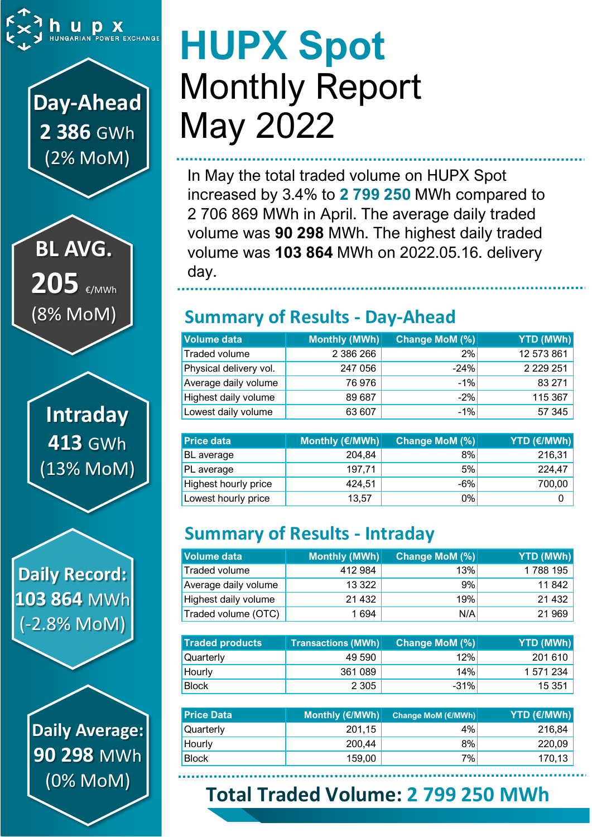

## **Day-Ahead 2 386** GWh (2% MoM)

**BL AVG.** 205 €/MWh (8% MoM)

**Intraday 413** GWh (13% MoM)

**Daily Record: 103 864** MWh (-2.8% MoM)

> **Daily Average: 90 298** MWh (0% MoM)

# **HUPX Spot** Monthly Report May 2022

In May the total traded volume on HUPX Spot increased by 3.4% to **2 799 250** MWh compared to 2 706 869 MWh in April. The average daily traded volume was **90 298** MWh. The highest daily traded volume was **103 864** MWh on 2022.05.16. delivery day.

### **Summary of Results - Day-Ahead**

| <b>Volume data</b>     | Monthly (MWh) | <b>Change MoM (%)</b> | YTD (MWh)     |
|------------------------|---------------|-----------------------|---------------|
| Traded volume          | 2 386 266     | 2%                    | 12 573 861    |
| Physical delivery vol. | 247 056       | $-24%$                | 2 2 2 9 2 5 1 |
| Average daily volume   | 76976         | $-1%$                 | 83 271        |
| Highest daily volume   | 89 687        | $-2%$                 | 115 367       |
| Lowest daily volume    | 63 607        | $-1%$                 | 57 345        |

| <b>Price data</b>    | Monthly (€/MWh) | Change MoM (%) | <b>YTD (€/MWh)</b> |
|----------------------|-----------------|----------------|--------------------|
| BL average           | 204,84          | 8%             | 216,31             |
| PL average           | 197,71          | 5%             | 224,47             |
| Highest hourly price | 424,51          | $-6%$          | 700,00             |
| Lowest hourly price  | 13,57           | 0%             |                    |

## **Summary of Results - Intraday**

| Volume data          | Monthly (MWh) | Change MoM (%) | YTD (MWh) |
|----------------------|---------------|----------------|-----------|
| Traded volume        | 412 984       | 13%            | 1788 195  |
| Average daily volume | 13 3 22       | 9%             | 11842     |
| Highest daily volume | 21 4 32       | 19%            | 21 4 32   |
| Traded volume (OTC)  | 1 6 9 4       | N/A            | 21 969    |

| <b>Traded products</b> | <b>Transactions (MWh)</b> | Change MoM (%) | <b>YTD (MWh)</b> |
|------------------------|---------------------------|----------------|------------------|
| Quarterly              | 49 590                    | 12%l           | 201 610          |
| Hourly                 | 361 089                   | 14%            | 1 571 234        |
| <b>Block</b>           | 2 3 0 5                   | $-31%$         | 15 351           |

| <b>Price Data</b> | Monthly (€/MWh)│ | <b>Change MoM (€/MWh)</b> | <b>YTD (€/MWh)</b> |
|-------------------|------------------|---------------------------|--------------------|
| Quarterly         | 201,15           | 4%                        | 216,84             |
| Hourly            | 200,44           | 8%                        | 220,09             |
| <b>Block</b>      | 159,00           | 7%                        | 170,13             |

## **Total Traded Volume: 2 799 250 MWh**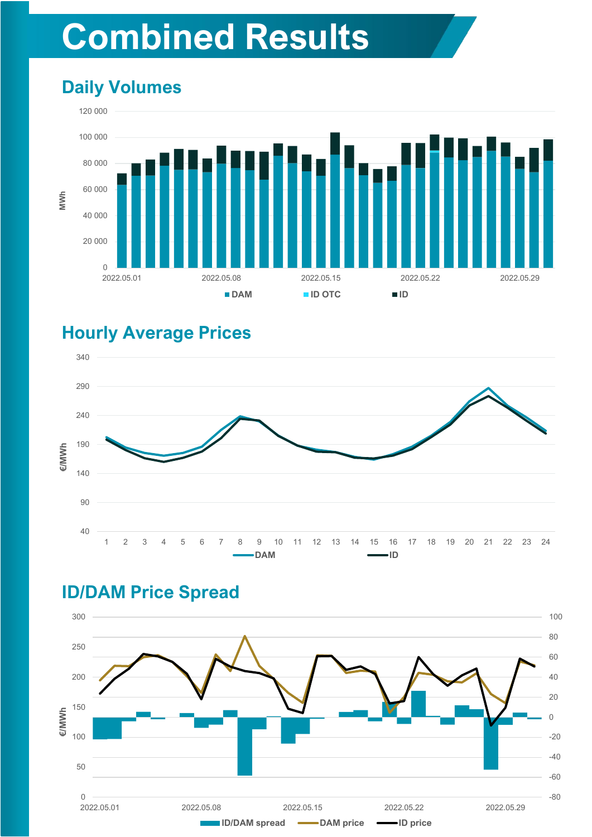## **Combined Results**

## **Daily Volumes**



#### **Hourly Average Prices**



### **ID/DAM Price Spread**

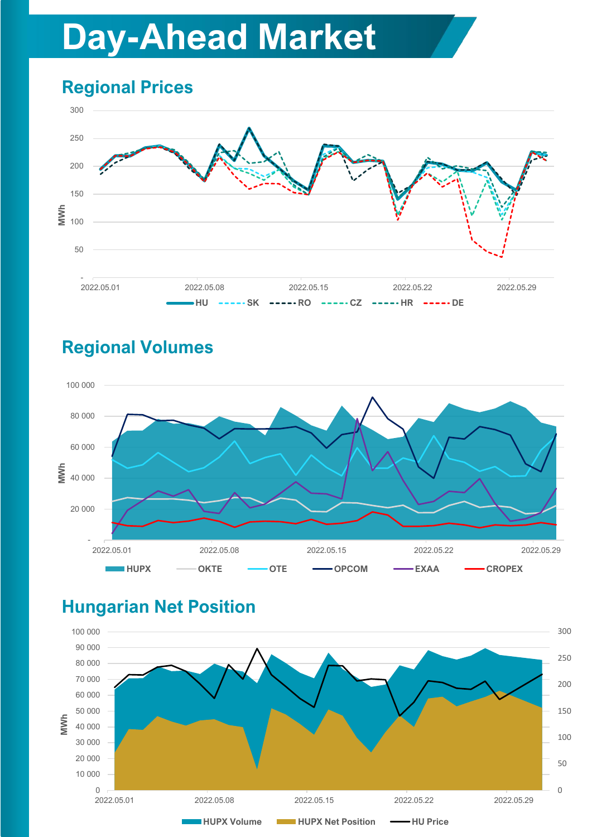## **Day-Ahead Market**

## **Regional Prices**



## **Regional Volumes**



### **Hungarian Net Position**

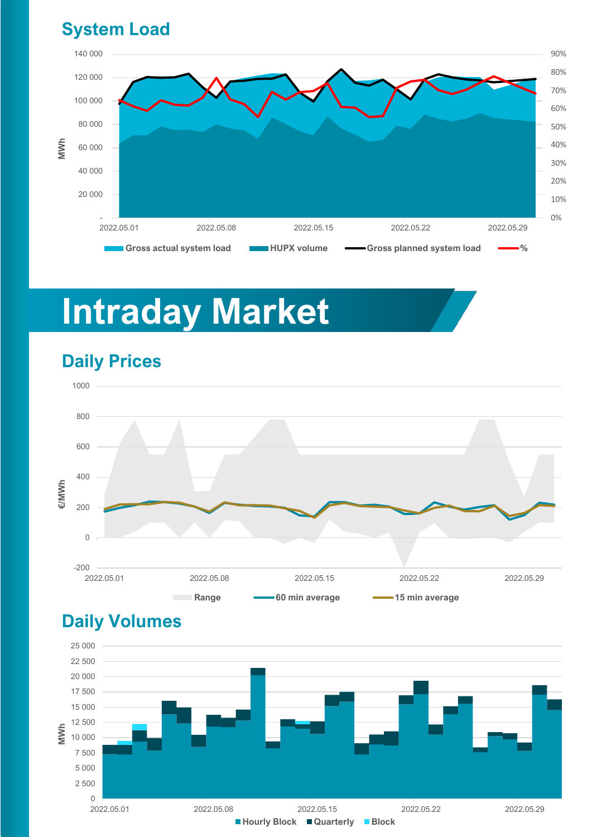#### **System Load**



## **Intraday Market**



#### **Daily Prices**

#### **Daily Volumes**